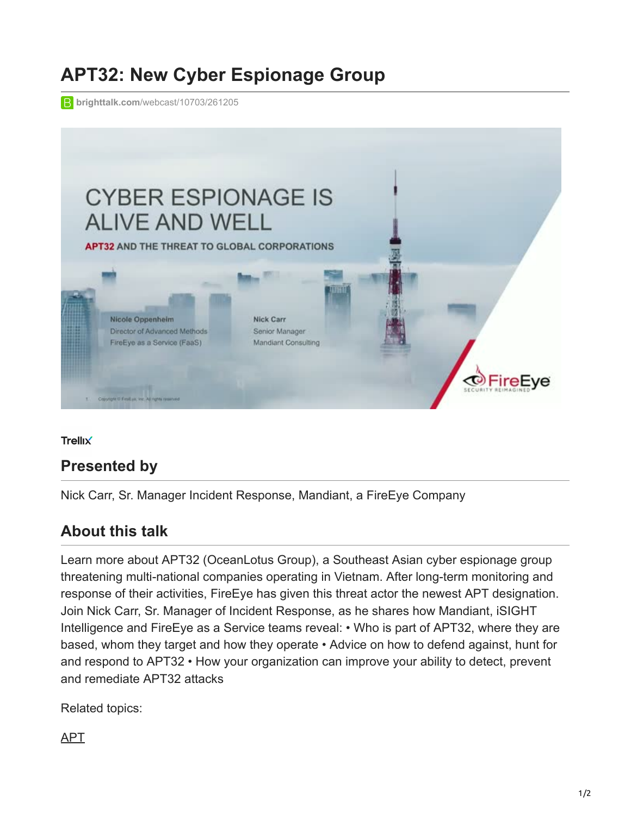## **APT32: New Cyber Espionage Group**

**brighttalk.com**[/webcast/10703/261205](https://www.brighttalk.com/webcast/10703/261205)



**Trellix** 

## **Presented by**

Nick Carr, Sr. Manager Incident Response, Mandiant, a FireEye Company

## **About this talk**

Learn more about APT32 (OceanLotus Group), a Southeast Asian cyber espionage group threatening multi-national companies operating in Vietnam. After long-term monitoring and response of their activities, FireEye has given this threat actor the newest APT designation. Join Nick Carr, Sr. Manager of Incident Response, as he shares how Mandiant, iSIGHT Intelligence and FireEye as a Service teams reveal: • Who is part of APT32, where they are based, whom they target and how they operate • Advice on how to defend against, hunt for and respond to APT32 • How your organization can improve your ability to detect, prevent and remediate APT32 attacks

Related topics:

[APT](https://www.brighttalk.com/topic/apt/)